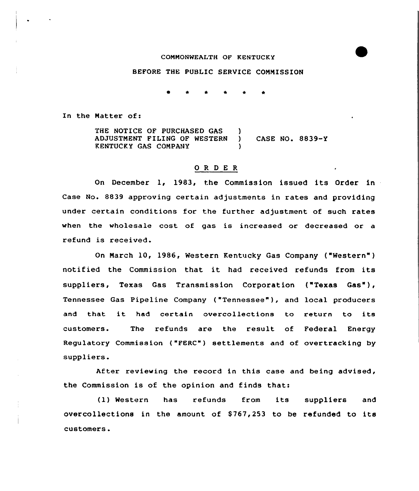## CONNONWEALTH OF KENTUCKY

## BEFORE THE PUBLIC SERVICE CONNISSION

In the Natter of:

THE NOTICE OF PURCHASED GAS ADJUSTNENT FILING OF WESTERN ) CASE NO. 8839-Y KENTUCKY GAS COMPANY )

## ORDER

On December 1, 19&3, the Commission issued its Order in Case No. 8839 approving certain adjustments in rates and providing under certain conditions for the further adjustment of such rates when the wholesale cost of gas is increased or decreased or a refund is received.

On Narch 10, 1986, Western Kentucky Gas Company ("Western" ) notified the Commission that it had received refunds from its suppliers, Texas Gas Transmission Corporation ("Texas Gas"), Tennessee Gas Pipeline Company ("Tennessee" ), and local producers and that it had certain overcollections to return to its customers. The refunds are the result of Federal Energy Regulatory Commission ("FERC") settlements and of overtracking by suppliers.

After reviewing the record in this case and being advised, the Commission is of the opinion and finds that:

(1) Western has refunds from it<mark>s suppliers</mark> and overcollections in the amount of 8767,253 to be refunded to its customers.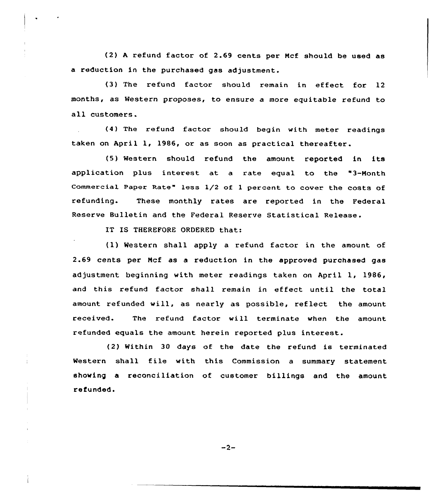(2) <sup>A</sup> refund factor of 2.69 cents per Ncf should be used as a reduction in the purchased gas adjustment.

(3) The refund factor should remain in effect for 12 months, as Western proposes, to ensure a more equitable refund to all customers.

(4) The refund factor should begin with meter readings taken on April 1, 19S6, or as soon as practical thereafter.

(5) Western should refund the amount reported in its application plus interest at a rate equal to the "3-Month Commercial Paper Rate" less 1/2 of l percent to cover the costs of refunding. These monthly rates are reported in the Federal Reserve Bulletin and the Federal Reserve Statistical Release.

IT IS THEREFORE ORDERED that:

(1) Western shall apply a refund factor in the amount of 2.69 cents per Ncf as a reduction in the approved purchased gas adjustment beginning with meter readings taken on April 1, 1986, and this refund factor shall remain in effect until the total amount refunded will, as nearly as possible, reflect the amount received. The refund factor will terminate when the amount refunded equals the amount herein reported plus interest.

(2) Within 30 days of the date the refund is terminated Western shall file with this Commission <sup>a</sup> summary statement showing a reconciliation of customer billings and the amount refunded.

 $-2-$